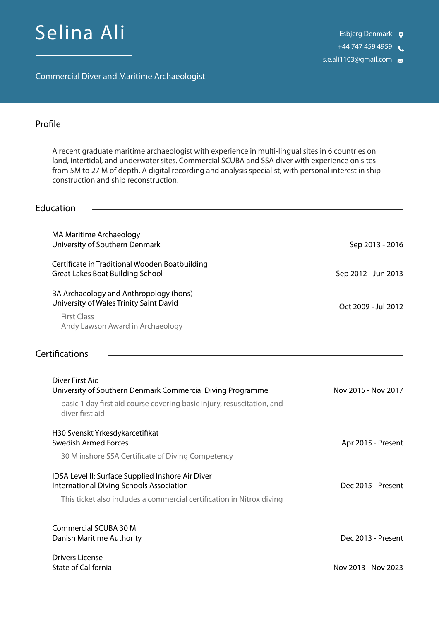# Selina Ali

+44 747 459 4959

s.e.ali1103@gmail.com

Commercial Diver and Maritime Archaeologist

| Profile                                                                                                                                                                                                                                                                                                                                                |                     |
|--------------------------------------------------------------------------------------------------------------------------------------------------------------------------------------------------------------------------------------------------------------------------------------------------------------------------------------------------------|---------------------|
| A recent graduate maritime archaeologist with experience in multi-lingual sites in 6 countries on<br>land, intertidal, and underwater sites. Commercial SCUBA and SSA diver with experience on sites<br>from 5M to 27 M of depth. A digital recording and analysis specialist, with personal interest in ship<br>construction and ship reconstruction. |                     |
| Education                                                                                                                                                                                                                                                                                                                                              |                     |
| <b>MA Maritime Archaeology</b><br>University of Southern Denmark                                                                                                                                                                                                                                                                                       | Sep 2013 - 2016     |
| Certificate in Traditional Wooden Boatbuilding<br><b>Great Lakes Boat Building School</b>                                                                                                                                                                                                                                                              | Sep 2012 - Jun 2013 |
| BA Archaeology and Anthropology (hons)<br>University of Wales Trinity Saint David<br><b>First Class</b><br>Andy Lawson Award in Archaeology                                                                                                                                                                                                            | Oct 2009 - Jul 2012 |
| Certifications                                                                                                                                                                                                                                                                                                                                         |                     |
| Diver First Aid<br>University of Southern Denmark Commercial Diving Programme<br>basic 1 day first aid course covering basic injury, resuscitation, and                                                                                                                                                                                                | Nov 2015 - Nov 2017 |
| diver first aid<br>H30 Svenskt Yrkesdykarcetifikat<br><b>Swedish Armed Forces</b>                                                                                                                                                                                                                                                                      | Apr 2015 - Present  |
| 30 M inshore SSA Certificate of Diving Competency<br>IDSA Level II: Surface Supplied Inshore Air Diver<br><b>International Diving Schools Association</b>                                                                                                                                                                                              | Dec 2015 - Present  |
| This ticket also includes a commercial certification in Nitrox diving                                                                                                                                                                                                                                                                                  |                     |
| <b>Commercial SCUBA 30 M</b><br>Danish Maritime Authority                                                                                                                                                                                                                                                                                              | Dec 2013 - Present  |
| <b>Drivers License</b><br><b>State of California</b>                                                                                                                                                                                                                                                                                                   | Nov 2013 - Nov 2023 |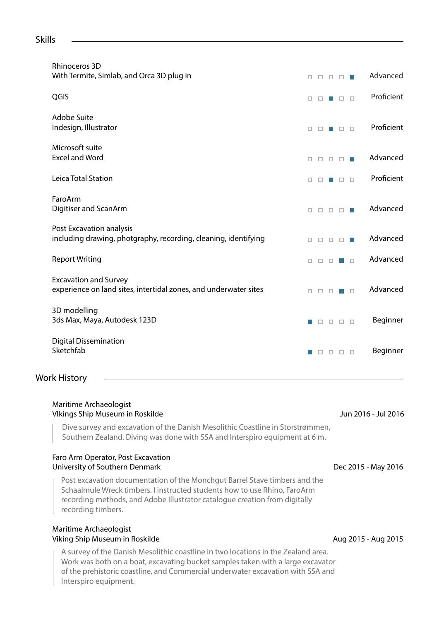#### Skills

| Rhinoceros 3D<br>With Termite, Simlab, and Orca 3D plug in                                       | □ |        |    | $\Box$ $\Box$ |        | Advanced   |
|--------------------------------------------------------------------------------------------------|---|--------|----|---------------|--------|------------|
| QGIS                                                                                             | □ |        |    | o             | $\Box$ | Proficient |
| Adobe Suite<br>Indesign, Illustrator                                                             | о | п      |    | п             | $\Box$ | Proficient |
| Microsoft suite<br><b>Excel and Word</b>                                                         | □ | $\Box$ | П. | $\Box$        | m.     | Advanced   |
| Leica Total Station                                                                              | □ |        |    | $\Box$ $\Box$ |        | Proficient |
| FaroArm<br>Digitiser and ScanArm                                                                 | П | □      | □  | $\Box$        |        | Advanced   |
| Post Excavation analysis<br>including drawing, photgraphy, recording, cleaning, identifying      | □ | □      | □  | $\Box$        | $\Box$ | Advanced   |
| <b>Report Writing</b>                                                                            | □ | п      | п  |               | $\Box$ | Advanced   |
| <b>Excavation and Survey</b><br>experience on land sites, intertidal zones, and underwater sites | п | п      | п  |               | $\Box$ | Advanced   |
| 3D modelling<br>3ds Max, Maya, Autodesk 123D                                                     |   | $\Box$ | O. | $\Box$        | $\Box$ | Beginner   |
| <b>Digital Dissemination</b><br>Sketchfab                                                        |   | □      | o. | $\Box$        | $\Box$ | Beginner   |

#### Work History

| Maritime Archaeologist<br>Vlkings Ship Museum in Roskilde                                                                                                                                                                                                   | Jun 2016 - Jul 2016 |  |  |  |  |  |
|-------------------------------------------------------------------------------------------------------------------------------------------------------------------------------------------------------------------------------------------------------------|---------------------|--|--|--|--|--|
| Dive survey and excavation of the Danish Mesolithic Coastline in Storstrømmen,<br>Southern Zealand. Diving was done with SSA and Interspiro equipment at 6 m.                                                                                               |                     |  |  |  |  |  |
| Faro Arm Operator, Post Excavation<br>University of Southern Denmark                                                                                                                                                                                        | Dec 2015 - May 2016 |  |  |  |  |  |
| Post excavation documentation of the Monchgut Barrel Stave timbers and the<br>Schaalmule Wreck timbers. I instructed students how to use Rhino, FaroArm<br>recording methods, and Adobe Illustrator catalogue creation from digitally<br>recording timbers. |                     |  |  |  |  |  |
| Maritime Archaeologist                                                                                                                                                                                                                                      |                     |  |  |  |  |  |

## Viking Ship Museum in Roskilde

A survey of the Danish Mesolithic coastline in two locations in the Zealand area. Work was both on a boat, excavating bucket samples taken with a large excavator of the prehistoric coastline, and Commercial underwater excavation with SSA and Interspiro equipment.

Aug 2015 - Aug 2015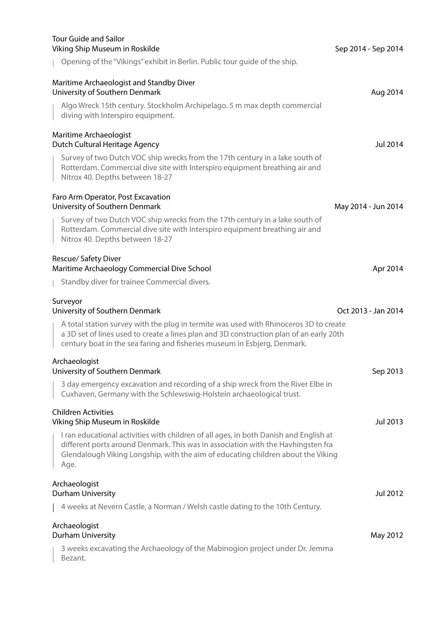| <b>Tour Guide and Sailor</b><br>Viking Ship Museum in Roskilde                                                                                                                                                                                                        | Sep 2014 - Sep 2014 |
|-----------------------------------------------------------------------------------------------------------------------------------------------------------------------------------------------------------------------------------------------------------------------|---------------------|
| Opening of the "Vikings" exhibit in Berlin. Public tour guide of the ship.                                                                                                                                                                                            |                     |
| Maritime Archaeologist and Standby Diver<br>University of Southern Denmark                                                                                                                                                                                            | Aug 2014            |
| Algo Wreck 15th century. Stockholm Archipelago. 5 m max depth commercial<br>diving with Interspiro equipment.                                                                                                                                                         |                     |
| Maritime Archaeologist<br>Dutch Cultural Heritage Agency                                                                                                                                                                                                              | Jul 2014            |
| Survey of two Dutch VOC ship wrecks from the 17th century in a lake south of<br>Rotterdam. Commercial dive site with Interspiro equipment breathing air and<br>Nitrox 40. Depths between 18-27                                                                        |                     |
| Faro Arm Operator, Post Excavation<br>University of Southern Denmark                                                                                                                                                                                                  | May 2014 - Jun 2014 |
| Survey of two Dutch VOC ship wrecks from the 17th century in a lake south of<br>Rotterdam. Commercial dive site with Interspiro equipment breathing air and<br>Nitrox 40. Depths between 18-27                                                                        |                     |
| Rescue/ Safety Diver<br>Maritime Archaeology Commercial Dive School                                                                                                                                                                                                   | Apr 2014            |
| Standby diver for trainee Commercial divers.                                                                                                                                                                                                                          |                     |
| Surveyor<br>University of Southern Denmark                                                                                                                                                                                                                            | Oct 2013 - Jan 2014 |
| A total station survey with the plug in termite was used with Rhinoceros 3D to create<br>a 3D set of lines used to create a lines plan and 3D construction plan of an early 20th<br>century boat in the sea faring and fisheries museum in Esbjerg, Denmark.          |                     |
| Archaeologist<br>University of Southern Denmark                                                                                                                                                                                                                       | Sep 2013            |
| 3 day emergency excavation and recording of a ship wreck from the River Elbe in<br>Cuxhaven, Germany with the Schlewswig-Holstein archaeological trust.                                                                                                               |                     |
| <b>Children Activities</b><br>Viking Ship Museum in Roskilde                                                                                                                                                                                                          | Jul 2013            |
| I ran educational activities with children of all ages, in both Danish and English at<br>different ports around Denmark. This was in association with the Havhingsten fra<br>Glendalough Viking Longship, with the aim of educating children about the Viking<br>Age. |                     |
| Archaeologist<br>Durham University                                                                                                                                                                                                                                    | Jul 2012            |
| 4 weeks at Nevern Castle, a Norman / Welsh castle dating to the 10th Century.                                                                                                                                                                                         |                     |
| Archaeologist<br>Durham University                                                                                                                                                                                                                                    | May 2012            |
| 3 weeks excavating the Archaeology of the Mabinogion project under Dr. Jemma<br>Bezant.                                                                                                                                                                               |                     |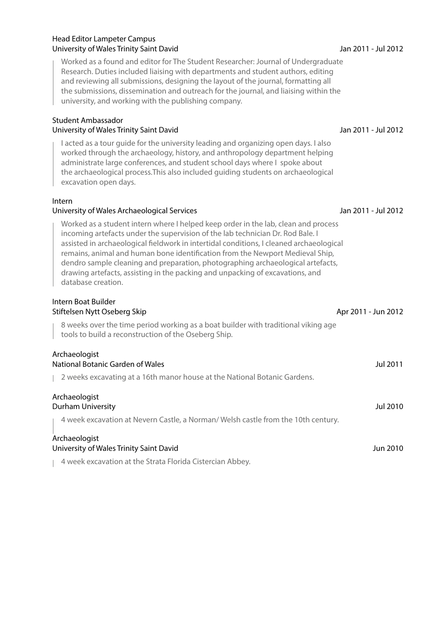#### Head Editor Lampeter Campus University of Wales Trinity Saint David

Worked as a found and editor for The Student Researcher: Journal of Undergraduate Research. Duties included liaising with departments and student authors, editing and reviewing all submissions, designing the layout of the journal, formatting all the submissions, dissemination and outreach for the journal, and liaising within the university, and working with the publishing company.

### Student Ambassador

#### University of Wales Trinity Saint David

I acted as a tour guide for the university leading and organizing open days. I also worked through the archaeology, history, and anthropology department helping administrate large conferences, and student school days where I spoke about the archaeological process.This also included guiding students on archaeological excavation open days.

#### Intern

#### University of Wales Archaeological Services

Worked as a student intern where I helped keep order in the lab, clean and process incoming artefacts under the supervision of the lab technician Dr. Rod Bale. I assisted in archaeological fieldwork in intertidal conditions, I cleaned archaeological remains, animal and human bone identification from the Newport Medieval Ship, dendro sample cleaning and preparation, photographing archaeological artefacts, drawing artefacts, assisting in the packing and unpacking of excavations, and database creation.

#### Intern Boat Builder Stiftelsen Nytt Oseberg Skip

8 weeks over the time period working as a boat builder with traditional viking age tools to build a reconstruction of the Oseberg Ship.

#### Archaeologist National Botanic Garden of Wales

2 weeks excavating at a 16th manor house at the National Botanic Gardens.

#### Archaeologist Durham University

4 week excavation at Nevern Castle, a Norman/ Welsh castle from the 10th century.

#### Archaeologist University of Wales Trinity Saint David

4 week excavation at the Strata Florida Cistercian Abbey.

### Jan 2011 - Jul 2012

#### Jan 2011 - Jul 2012

Apr 2011 - Jun 2012

Jul 2011

Jul 2010

Jun 2010